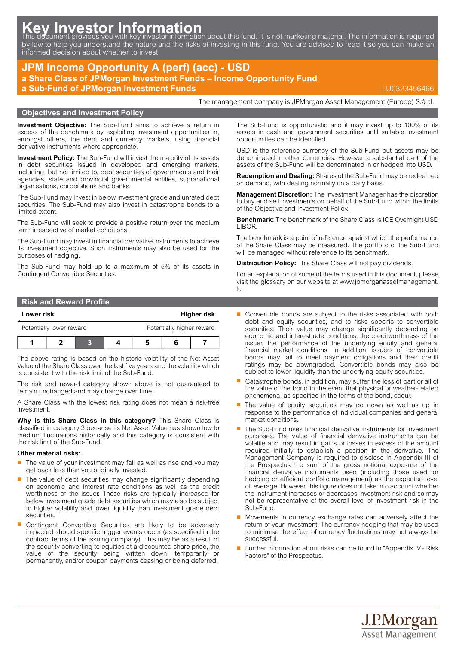# Key Investor Information<br>This document provides you with key investor information about this fund. It is not marketing material. The information is required

by law to help you understand the nature and the risks of investing in this fund. You are advised to read it so you can make an informed decision about whether to invest.

## **JPM Income Opportunity A (perf) (acc) - USD**

**a Share Class of JPMorgan Investment Funds – Income Opportunity Fund a Sub-Fund of JPMorgan Investment Funds** LU0323456466

The management company is JPMorgan Asset Management (Europe) S.à r.l.

#### **Objectives and Investment Policy**

**Investment Objective:** The Sub-Fund aims to achieve a return in excess of the benchmark by exploiting investment opportunities in, amongst others, the debt and currency markets, using financial derivative instruments where appropriate.

**Investment Policy:** The Sub-Fund will invest the majority of its assets in debt securities issued in developed and emerging markets, including, but not limited to, debt securities of governments and their agencies, state and provincial governmental entities, supranational organisations, corporations and banks.

The Sub-Fund may invest in below investment grade and unrated debt securities. The Sub-Fund may also invest in catastrophe bonds to a limited extent.

The Sub-Fund will seek to provide a positive return over the medium term irrespective of market conditions.

The Sub-Fund may invest in financial derivative instruments to achieve its investment objective. Such instruments may also be used for the purposes of hedging.

The Sub-Fund may hold up to a maximum of 5% of its assets in Contingent Convertible Securities.

### **Risk and Reward Profile**

| Lower risk               |  |  | Higher risk |                           |  |  |
|--------------------------|--|--|-------------|---------------------------|--|--|
| Potentially lower reward |  |  |             | Potentially higher reward |  |  |
|                          |  |  |             |                           |  |  |

The above rating is based on the historic volatility of the Net Asset Value of the Share Class over the last five years and the volatility which is consistent with the risk limit of the Sub-Fund.

The risk and reward category shown above is not guaranteed to remain unchanged and may change over time.

A Share Class with the lowest risk rating does not mean a risk-free investment.

**Why is this Share Class in this category?** This Share Class is classified in category 3 because its Net Asset Value has shown low to medium fluctuations historically and this category is consistent with the risk limit of the Sub-Fund.

#### **Other material risks:**

- $\blacksquare$  The value of your investment may fall as well as rise and you may get back less than you originally invested.
- The value of debt securities may change significantly depending on economic and interest rate conditions as well as the credit worthiness of the issuer. These risks are typically increased for below investment grade debt securities which may also be subject to higher volatility and lower liquidity than investment grade debt securities.
- Contingent Convertible Securities are likely to be adversely impacted should specific trigger events occur (as specified in the contract terms of the issuing company). This may be as a result of the security converting to equities at a discounted share price, the value of the security being written down, temporarily or permanently, and/or coupon payments ceasing or being deferred.

The Sub-Fund is opportunistic and it may invest up to 100% of its assets in cash and government securities until suitable investment opportunities can be identified.

USD is the reference currency of the Sub-Fund but assets may be denominated in other currencies. However a substantial part of the assets of the Sub-Fund will be denominated in or hedged into USD.

**Redemption and Dealing:** Shares of the Sub-Fund may be redeemed on demand, with dealing normally on a daily basis.

**Management Discretion:** The Investment Manager has the discretion to buy and sell investments on behalf of the Sub-Fund within the limits of the Objective and Investment Policy.

**Benchmark:** The benchmark of the Share Class is ICE Overnight USD LIBOR.

The benchmark is a point of reference against which the performance of the Share Class may be measured. The portfolio of the Sub-Fund will be managed without reference to its benchmark.

**Distribution Policy:** This Share Class will not pay dividends.

For an explanation of some of the terms used in this document, please visit the glossary on our website at [www.jpmorganassetmanagement.](www.jpmorganassetmanagement.lu) [lu](www.jpmorganassetmanagement.lu)

- Convertible bonds are subject to the risks associated with both debt and equity securities, and to risks specific to convertible securities. Their value may change significantly depending on economic and interest rate conditions, the creditworthiness of the issuer, the performance of the underlying equity and general financial market conditions. In addition, issuers of convertible bonds may fail to meet payment obligations and their credit ratings may be downgraded. Convertible bonds may also be subject to lower liquidity than the underlying equity securities.
- Q Catastrophe bonds, in addition, may suffer the loss of part or all of the value of the bond in the event that physical or weather-related phenomena, as specified in the terms of the bond, occur.
- The value of equity securities may go down as well as up in response to the performance of individual companies and general market conditions.
- The Sub-Fund uses financial derivative instruments for investment purposes. The value of financial derivative instruments can be volatile and may result in gains or losses in excess of the amount required initially to establish a position in the derivative. The Management Company is required to disclose in Appendix III of the Prospectus the sum of the gross notional exposure of the financial derivative instruments used (including those used for hedging or efficient portfolio management) as the expected level of leverage. However, this figure does not take into account whether the instrument increases or decreases investment risk and so may not be representative of the overall level of investment risk in the Sub-Fund.
- $\blacksquare$  Movements in currency exchange rates can adversely affect the return of your investment. The currency hedging that may be used to minimise the effect of currency fluctuations may not always be successful.
- Further information about risks can be found in "Appendix IV Risk Factors" of the Prospectus.